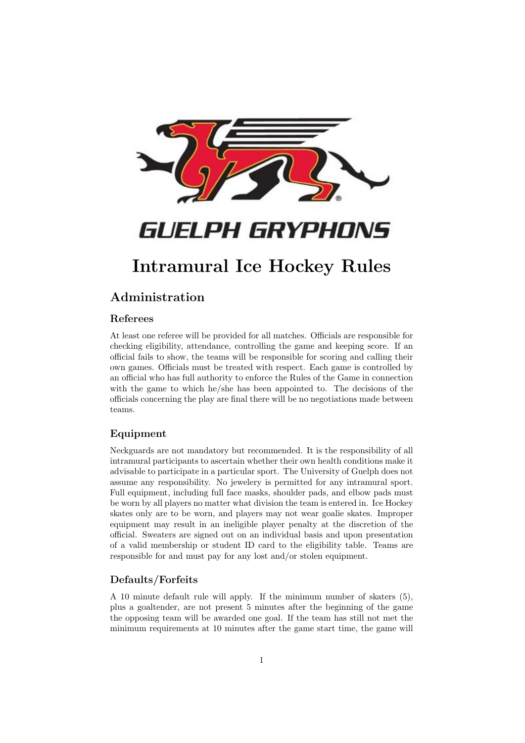

# GUELPH GRYPHONS

# Intramural Ice Hockey Rules

# Administration

## Referees

At least one referee will be provided for all matches. Officials are responsible for checking eligibility, attendance, controlling the game and keeping score. If an official fails to show, the teams will be responsible for scoring and calling their own games. Officials must be treated with respect. Each game is controlled by an official who has full authority to enforce the Rules of the Game in connection with the game to which he/she has been appointed to. The decisions of the officials concerning the play are final there will be no negotiations made between teams.

## Equipment

Neckguards are not mandatory but recommended. It is the responsibility of all intramural participants to ascertain whether their own health conditions make it advisable to participate in a particular sport. The University of Guelph does not assume any responsibility. No jewelery is permitted for any intramural sport. Full equipment, including full face masks, shoulder pads, and elbow pads must be worn by all players no matter what division the team is entered in. Ice Hockey skates only are to be worn, and players may not wear goalie skates. Improper equipment may result in an ineligible player penalty at the discretion of the official. Sweaters are signed out on an individual basis and upon presentation of a valid membership or student ID card to the eligibility table. Teams are responsible for and must pay for any lost and/or stolen equipment.

### Defaults/Forfeits

A 10 minute default rule will apply. If the minimum number of skaters (5), plus a goaltender, are not present 5 minutes after the beginning of the game the opposing team will be awarded one goal. If the team has still not met the minimum requirements at 10 minutes after the game start time, the game will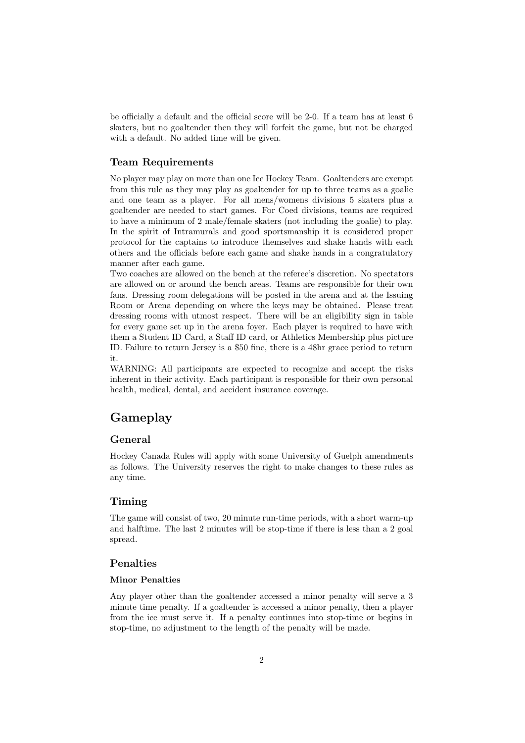be officially a default and the official score will be 2-0. If a team has at least 6 skaters, but no goaltender then they will forfeit the game, but not be charged with a default. No added time will be given.

#### Team Requirements

No player may play on more than one Ice Hockey Team. Goaltenders are exempt from this rule as they may play as goaltender for up to three teams as a goalie and one team as a player. For all mens/womens divisions 5 skaters plus a goaltender are needed to start games. For Coed divisions, teams are required to have a minimum of 2 male/female skaters (not including the goalie) to play. In the spirit of Intramurals and good sportsmanship it is considered proper protocol for the captains to introduce themselves and shake hands with each others and the officials before each game and shake hands in a congratulatory manner after each game.

Two coaches are allowed on the bench at the referee's discretion. No spectators are allowed on or around the bench areas. Teams are responsible for their own fans. Dressing room delegations will be posted in the arena and at the Issuing Room or Arena depending on where the keys may be obtained. Please treat dressing rooms with utmost respect. There will be an eligibility sign in table for every game set up in the arena foyer. Each player is required to have with them a Student ID Card, a Staff ID card, or Athletics Membership plus picture ID. Failure to return Jersey is a \$50 fine, there is a 48hr grace period to return it.

WARNING: All participants are expected to recognize and accept the risks inherent in their activity. Each participant is responsible for their own personal health, medical, dental, and accident insurance coverage.

# Gameplay

### General

Hockey Canada Rules will apply with some University of Guelph amendments as follows. The University reserves the right to make changes to these rules as any time.

### Timing

The game will consist of two, 20 minute run-time periods, with a short warm-up and halftime. The last 2 minutes will be stop-time if there is less than a 2 goal spread.

#### Penalties

#### Minor Penalties

Any player other than the goaltender accessed a minor penalty will serve a 3 minute time penalty. If a goaltender is accessed a minor penalty, then a player from the ice must serve it. If a penalty continues into stop-time or begins in stop-time, no adjustment to the length of the penalty will be made.